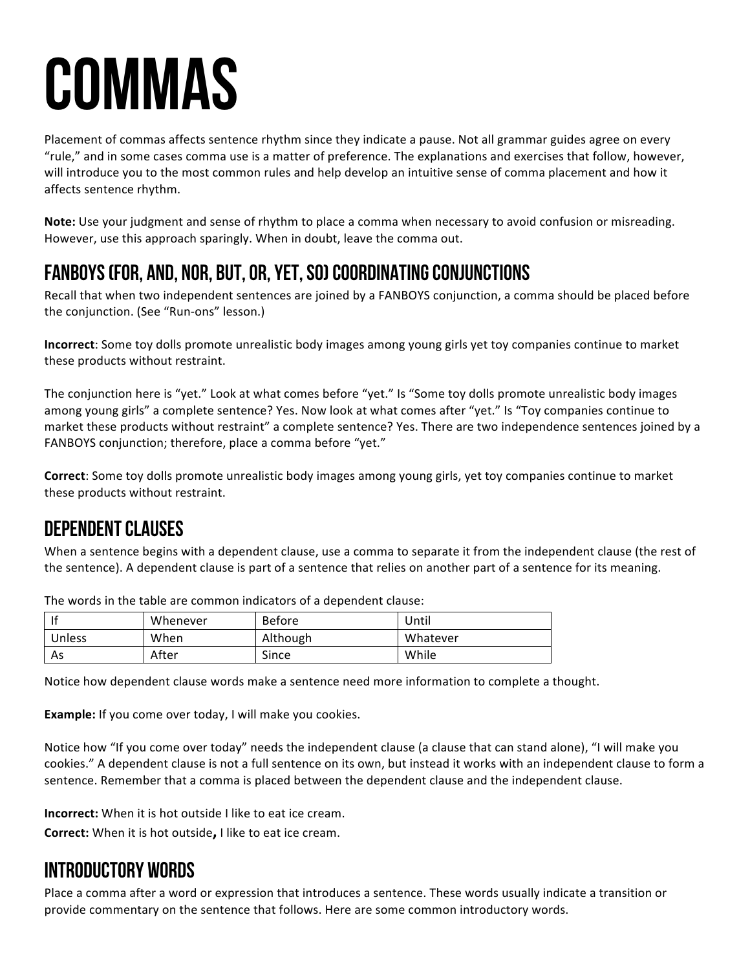# **COMMAS**

Placement of commas affects sentence rhythm since they indicate a pause. Not all grammar guides agree on every "rule," and in some cases comma use is a matter of preference. The explanations and exercises that follow, however, will introduce you to the most common rules and help develop an intuitive sense of comma placement and how it affects sentence rhythm.

**Note:** Use your judgment and sense of rhythm to place a comma when necessary to avoid confusion or misreading. However, use this approach sparingly. When in doubt, leave the comma out.

## Fanboys (for, and, nor, but, or, yet, so) Coordinating Conjunctions

Recall that when two independent sentences are joined by a FANBOYS conjunction, a comma should be placed before the conjunction. (See "Run-ons" lesson.)

**Incorrect**: Some toy dolls promote unrealistic body images among young girls yet toy companies continue to market these products without restraint.

The conjunction here is "yet." Look at what comes before "yet." Is "Some toy dolls promote unrealistic body images among young girls" a complete sentence? Yes. Now look at what comes after "yet." Is "Toy companies continue to market these products without restraint" a complete sentence? Yes. There are two independence sentences joined by a FANBOYS conjunction; therefore, place a comma before "yet."

**Correct**: Some toy dolls promote unrealistic body images among young girls, yet toy companies continue to market these products without restraint.

## Dependent Clauses

When a sentence begins with a dependent clause, use a comma to separate it from the independent clause (the rest of the sentence). A dependent clause is part of a sentence that relies on another part of a sentence for its meaning.

| -lf    | Whenever | <b>Before</b> | Jntil    |
|--------|----------|---------------|----------|
| Unless | When     | Although      | Whatever |
| As     | After    | Since         | While    |

The words in the table are common indicators of a dependent clause:

Notice how dependent clause words make a sentence need more information to complete a thought.

**Example:** If you come over today, I will make you cookies.

Notice how "If you come over today" needs the independent clause (a clause that can stand alone), "I will make you cookies." A dependent clause is not a full sentence on its own, but instead it works with an independent clause to form a sentence. Remember that a comma is placed between the dependent clause and the independent clause.

**Incorrect:** When it is hot outside I like to eat ice cream.

**Correct:** When it is hot outside, I like to eat ice cream.

#### Introductory Words

Place a comma after a word or expression that introduces a sentence. These words usually indicate a transition or provide commentary on the sentence that follows. Here are some common introductory words.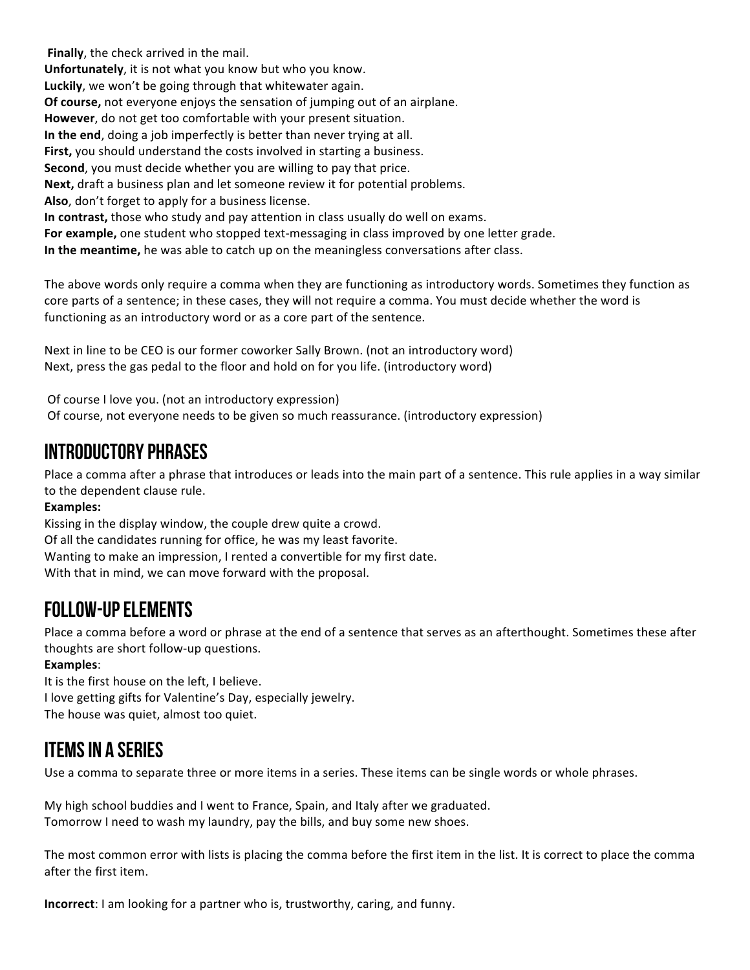**Finally**, the check arrived in the mail. **Unfortunately**, it is not what you know but who you know. Luckily, we won't be going through that whitewater again. **Of course,** not everyone enjoys the sensation of jumping out of an airplane. **However**, do not get too comfortable with your present situation. In the end, doing a job imperfectly is better than never trying at all. **First,** you should understand the costs involved in starting a business. **Second**, you must decide whether you are willing to pay that price. **Next,** draft a business plan and let someone review it for potential problems. Also, don't forget to apply for a business license. **In contrast,** those who study and pay attention in class usually do well on exams. For example, one student who stopped text-messaging in class improved by one letter grade. **In the meantime,** he was able to catch up on the meaningless conversations after class.

The above words only require a comma when they are functioning as introductory words. Sometimes they function as core parts of a sentence; in these cases, they will not require a comma. You must decide whether the word is functioning as an introductory word or as a core part of the sentence.

Next in line to be CEO is our former coworker Sally Brown. (not an introductory word) Next, press the gas pedal to the floor and hold on for you life. (introductory word)

Of course I love you. (not an introductory expression) Of course, not everyone needs to be given so much reassurance. (introductory expression)

### Introductory Phrases

Place a comma after a phrase that introduces or leads into the main part of a sentence. This rule applies in a way similar to the dependent clause rule.

#### **Examples:**

Kissing in the display window, the couple drew quite a crowd. Of all the candidates running for office, he was my least favorite. Wanting to make an impression, I rented a convertible for my first date. With that in mind, we can move forward with the proposal.

#### Follow-Up Elements

Place a comma before a word or phrase at the end of a sentence that serves as an afterthought. Sometimes these after thoughts are short follow-up questions.

#### **Examples**:

It is the first house on the left, I believe. I love getting gifts for Valentine's Day, especially jewelry. The house was quiet, almost too quiet.

#### Items in A series

Use a comma to separate three or more items in a series. These items can be single words or whole phrases.

My high school buddies and I went to France, Spain, and Italy after we graduated. Tomorrow I need to wash my laundry, pay the bills, and buy some new shoes.

The most common error with lists is placing the comma before the first item in the list. It is correct to place the comma after the first item.

**Incorrect**: I am looking for a partner who is, trustworthy, caring, and funny.